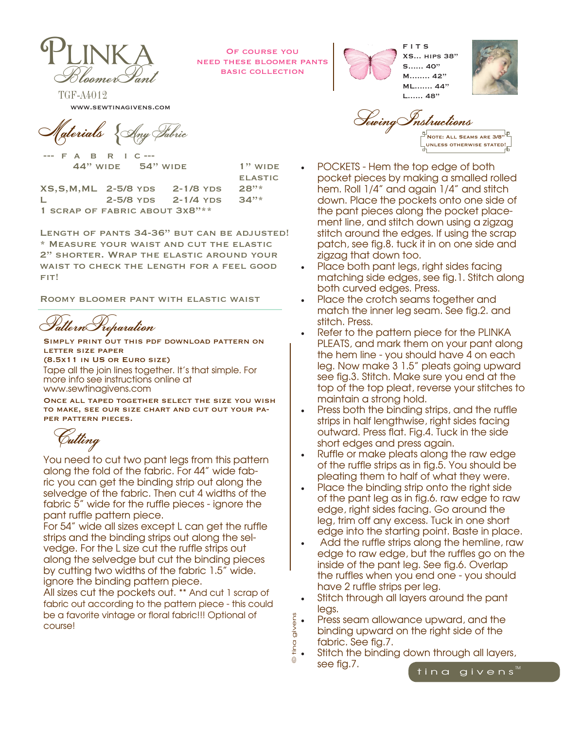

TGF-A4012

Materials {Any Fabric

 --- f a b r i c --- 44" WIDE 54" WIDE 1" WIDE

Of course you need these bloomer pants basic collection

XS,S,M,ML 2-5/8 yds 2-1/8 yds 28"\* L 2-5/8 YDS 2-1/4 YDS 34"\* 1 scrap of fabric about 3x8"\*\*

elastic de la contrata de la contrata de la contrata de la contrata de la contrata de la contrata de la contrata de la contrata de la contrata de la contrata de la contrata de la contrata de la contrata de la contrata de l

LENGTH OF PANTS 34-36" BUT CAN BE ADJUSTED! \* Measure your waist and cut the elastic 2" shorter. Wrap the elastic around your waist to check the length for a feel good FIT!

Roomy bloomer pant with elastic waist

Pattern Preparation

Simply print out this pdf download pattern on letter size paper (8.5x11 in US or Euro size)

Tape all the join lines together. It's that simple. For more info see instructions online at www.sewtinagivens.com

Once all taped together select the size you wish to make, see our size chart and cut out your paper pattern pieces.

Cutting

You need to cut two pant legs from this pattern along the fold of the fabric. For 44" wide fabric you can get the binding strip out along the selvedge of the fabric. Then cut 4 widths of the fabric 5" wide for the ruffle pieces - ignore the pant ruffle pattern piece.

For 54" wide all sizes except L can get the ruffle strips and the binding strips out along the selvedge. For the L size cut the ruffle strips out along the selvedge but cut the binding pieces by cutting two widths of the fabric 1.5" wide. ignore the binding pattern piece.

All sizes cut the pockets out. \*\* And cut 1 scrap of fabric out according to the pattern piece - this could be a favorite vintage or floral fabric!!! Optional of course!

F I T S XS... hips 38" S...... 40" M........ 42" ML....... 44" L...... 48"



Note: All Seams are 3/8" unless otherwise stated! www.sewtinagivens.com<br>forials School Televis

- POCKETS Hem the top edge of both<br>pockets jeices by making a smalled remove help coses y making a smalled red with the pant pleces shop the pockets plat<br>the pant pleces along the pocket plat<br>ment line, and stitch down u pocket pieces by making a smalled rolled hem. Roll 1/4" and again 1/4" and stitch down. Place the pockets onto one side of the pant pieces along the pocket placement line, and stitch down using a zigzag stitch around the edges. If using the scrap patch, see fig.8. tuck it in on one side and zigzag that down too.
	- Place both pant legs, right sides facing matching side edges, see fig.1. Stitch along both curved edges. Press.
	- Place the crotch seams together and match the inner leg seam. See fig.2. and stitch. Press.
	- Refer to the pattern piece for the PLINKA PLEATS, and mark them on your pant along the hem line - you should have 4 on each leg. Now make 3 1.5" pleats going upward see fig.3. Stitch. Make sure you end at the top of the top pleat, reverse your stitches to maintain a strong hold.
	- Press both the binding strips, and the ruffle strips in half lengthwise, right sides facing outward. Press flat. Fig.4. Tuck in the side short edges and press again.
	- Ruffle or make pleats along the raw edge of the ruffle strips as in fig.5. You should be pleating them to half of what they were.
	- Place the binding strip onto the right side of the pant leg as in fig.6. raw edge to raw edge, right sides facing. Go around the leg, trim off any excess. Tuck in one short edge into the starting point. Baste in place.
	- Add the ruffle strips along the hemline, raw edge to raw edge, but the ruffles go on the inside of the pant leg. See fig.6. Overlap the ruffles when you end one - you should have 2 ruffle strips per leg.
	- Stitch through all layers around the pant legs.
	- Press seam allowance upward, and the
	- binding upward on the right side of the fabric. See fig.7.
- Stitch the binding down through all layers,
	- see fig.7.